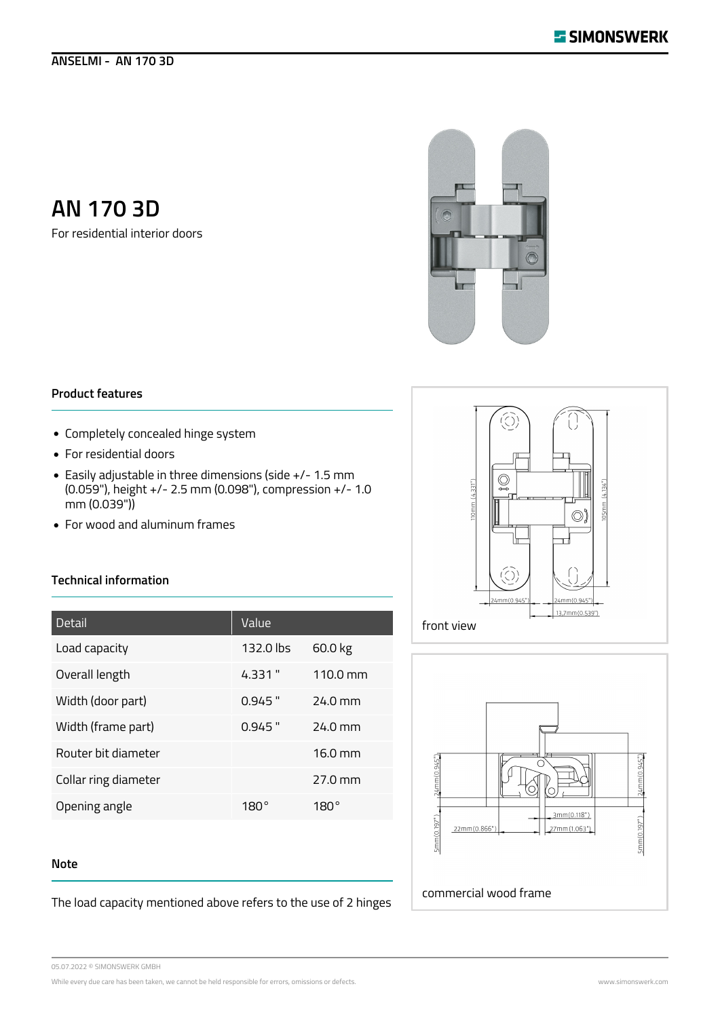## **ANSELMI - AN 170 3D**

# **AN 170 3D**

For residential interior doors



## **Product features**

- Completely concealed hinge system
- For residential doors
- Easily adjustable in three dimensions (side +/- 1.5 mm (0.059"), height +/- 2.5 mm (0.098"), compression +/- 1.0 mm (0.039"))
- For wood and aluminum frames

## **Technical information**

| Detail               | Value       |                      |
|----------------------|-------------|----------------------|
| Load capacity        | $132.0$ lbs | 60.0 kg              |
| Overall length       | 4.331 "     | $110.0 \text{ mm}$   |
| Width (door part)    | $0.945$ "   | $24.0$ mm            |
| Width (frame part)   | $0.945$ "   | $74.0 \text{ mm}$    |
| Router bit diameter  |             | $16.0 \text{ mm}$    |
| Collar ring diameter |             | $27.0 \,\mathrm{mm}$ |
| Opening angle        | 180°        | 180°                 |

#### **Note**

The load capacity mentioned above refers to the use of 2 hinges





05.07.2022 © SIMONSWERK GMBH

While every due care has been taken, we cannot be held responsible for errors, omissions or defects. Www.simonswerk.com www.simonswerk.com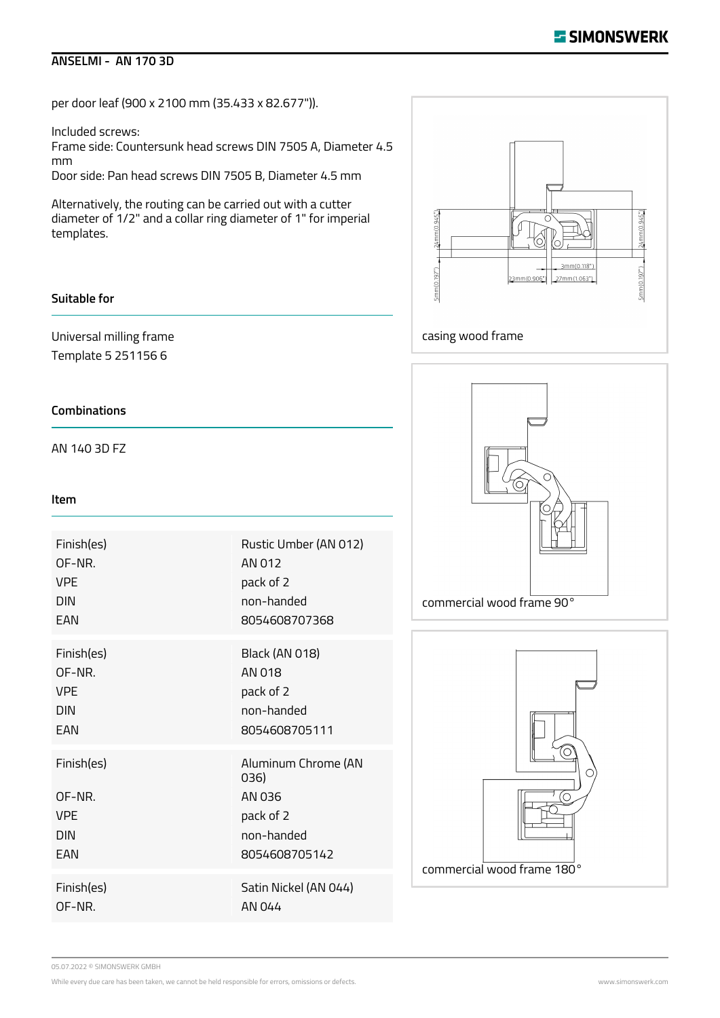## **ANSELMI - AN 170 3D**

per door leaf (900 x 2100 mm (35.433 x 82.677")).

Included screws:

Frame side: Countersunk head screws DIN 7505 A, Diameter 4.5 mm

Door side: Pan head screws DIN 7505 B, Diameter 4.5 mm

Alternatively, the routing can be carried out with a cutter diameter of 1/2" and a collar ring diameter of 1" for imperial templates.

## **Suitable for**

Universal milling frame Template 5 251156 6

## **Combinations**

AN 140 3D FZ

#### **Item**

| Finish(es)                                              | Rustic Umber (AN 012)                                                             |
|---------------------------------------------------------|-----------------------------------------------------------------------------------|
| OF-NR.                                                  | AN 012                                                                            |
| <b>VPF</b>                                              | pack of 2                                                                         |
| <b>DIN</b>                                              | non-handed                                                                        |
| FAN                                                     | 8054608707368                                                                     |
| Finish(es)                                              | <b>Black (AN 018)</b>                                                             |
| OF-NR.                                                  | AN 018                                                                            |
| <b>VPF</b>                                              | pack of 2                                                                         |
| <b>DIN</b>                                              | non-handed                                                                        |
| FAN                                                     | 8054608705111                                                                     |
| Finish(es)<br>OF-NR.<br><b>VPF</b><br><b>DIN</b><br>FAN | Aluminum Chrome (AN<br>036)<br>AN 036<br>pack of 2<br>non-handed<br>8054608705142 |
| Finish(es)                                              | Satin Nickel (AN 044)                                                             |
| OF-NR.                                                  | AN 044                                                                            |







05.07.2022 © SIMONSWERK GMBH

While every due care has been taken, we cannot be held responsible for errors, omissions or defects. While every due of the state of the state of the state of the state of the state of the state of the state of the state o